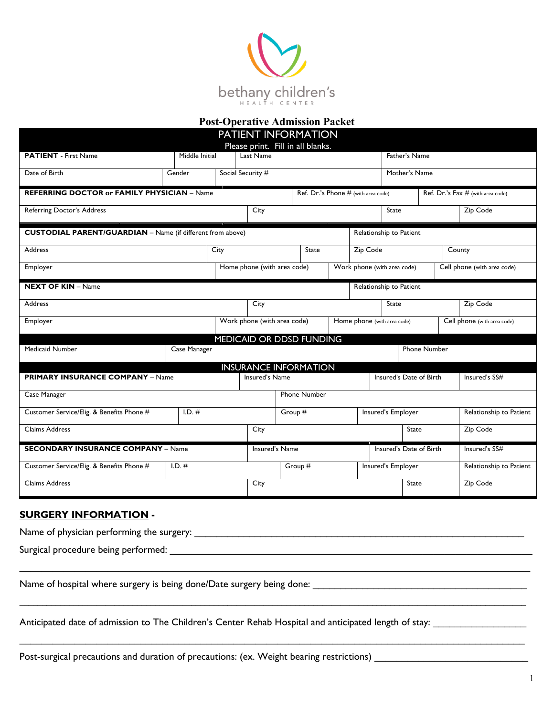

## **Post-Operative Admission Packet**

|                                                                   |                |      |                             | PATIENT INFORMATION                 |  |                             |                             |                     |                                   |  |
|-------------------------------------------------------------------|----------------|------|-----------------------------|-------------------------------------|--|-----------------------------|-----------------------------|---------------------|-----------------------------------|--|
|                                                                   |                |      |                             | Please print. Fill in all blanks.   |  |                             |                             |                     |                                   |  |
| <b>PATIENT</b> - First Name                                       | Middle Initial |      | Last Name                   |                                     |  |                             | Father's Name               |                     |                                   |  |
| Date of Birth                                                     | Gender         |      | Social Security #           |                                     |  |                             | Mother's Name               |                     |                                   |  |
| <b>REFERRING DOCTOR or FAMILY PHYSICIAN - Name</b>                |                |      |                             | Ref. Dr.'s Phone # (with area code) |  |                             |                             |                     | Ref. Dr.'s Fax # (with area code) |  |
| Referring Doctor's Address                                        |                |      | City                        |                                     |  |                             | <b>State</b>                |                     | Zip Code                          |  |
| <b>CUSTODIAL PARENT/GUARDIAN</b> - Name (if different from above) |                |      |                             |                                     |  |                             | Relationship to Patient     |                     |                                   |  |
| <b>Address</b>                                                    |                | City |                             | <b>State</b>                        |  | Zip Code                    |                             |                     | County                            |  |
| Employer                                                          |                |      | Home phone (with area code) |                                     |  |                             | Work phone (with area code) |                     | Cell phone (with area code)       |  |
| <b>NEXT OF KIN - Name</b>                                         |                |      |                             |                                     |  |                             | Relationship to Patient     |                     |                                   |  |
| <b>Address</b>                                                    |                |      | City                        |                                     |  |                             | State                       |                     | Zip Code                          |  |
| Employer                                                          |                |      | Work phone (with area code) |                                     |  | Home phone (with area code) |                             |                     | Cell phone (with area code)       |  |
|                                                                   |                |      |                             | MEDICAID OR DDSD FUNDING            |  |                             |                             |                     |                                   |  |
| <b>Medicaid Number</b>                                            | Case Manager   |      |                             |                                     |  |                             |                             | <b>Phone Number</b> |                                   |  |
|                                                                   |                |      |                             | <b>INSURANCE INFORMATION</b>        |  |                             |                             |                     |                                   |  |
| <b>PRIMARY INSURANCE COMPANY - Name</b>                           |                |      | Insured's Name              |                                     |  |                             | Insured's Date of Birth     |                     | Insured's SS#                     |  |
| Case Manager                                                      |                |      |                             | <b>Phone Number</b>                 |  |                             |                             |                     |                                   |  |
| Customer Service/Elig. & Benefits Phone #                         | $I.D.$ #       |      |                             | Group #                             |  |                             | Insured's Employer          |                     | Relationship to Patient           |  |
| <b>Claims Address</b>                                             |                |      | City                        |                                     |  |                             | State                       |                     | Zip Code                          |  |
| <b>SECONDARY INSURANCE COMPANY - Name</b>                         |                |      | Insured's Name              |                                     |  |                             | Insured's Date of Birth     |                     | Insured's SS#                     |  |
| Customer Service/Elig. & Benefits Phone #                         | $I.D.$ #       |      |                             | Group #                             |  |                             | Insured's Employer          |                     | Relationship to Patient           |  |
| Claims Address                                                    |                |      | City                        | State<br>Zip Code                   |  |                             |                             |                     |                                   |  |

## **SURGERY INFORMATION -**

Name of physician performing the surgery: \_\_\_\_\_\_\_\_\_\_\_\_\_\_\_\_\_\_\_\_\_\_\_\_\_\_\_\_\_\_\_\_\_\_\_\_\_\_\_\_\_\_\_\_\_\_\_\_\_\_\_\_\_\_\_\_\_\_\_\_

Surgical procedure being performed: \_\_\_\_\_\_\_\_\_\_\_\_\_\_\_\_\_\_\_\_\_\_\_\_\_\_\_\_\_\_\_\_\_\_\_\_\_\_\_\_\_\_\_\_\_\_\_\_\_\_\_\_\_\_\_\_\_\_\_\_\_\_\_\_\_\_

Name of hospital where surgery is being done/Date surgery being done: \_\_\_\_\_\_\_\_\_\_\_\_\_\_\_\_\_\_\_\_\_\_\_\_\_\_\_\_\_\_\_\_\_\_\_\_\_\_\_

Anticipated date of admission to The Children's Center Rehab Hospital and anticipated length of stay: \_\_\_\_\_\_\_\_\_\_\_\_\_\_\_\_\_

Post-surgical precautions and duration of precautions: (ex. Weight bearing restrictions)

\_\_\_\_\_\_\_\_\_\_\_\_\_\_\_\_\_\_\_\_\_\_\_\_\_\_\_\_\_\_\_\_\_\_\_\_\_\_\_\_\_\_\_\_\_\_\_\_\_\_\_\_\_\_\_\_\_\_\_\_\_\_\_\_\_\_\_\_\_\_\_\_\_\_\_\_\_\_\_\_\_\_\_\_\_\_\_\_\_\_\_\_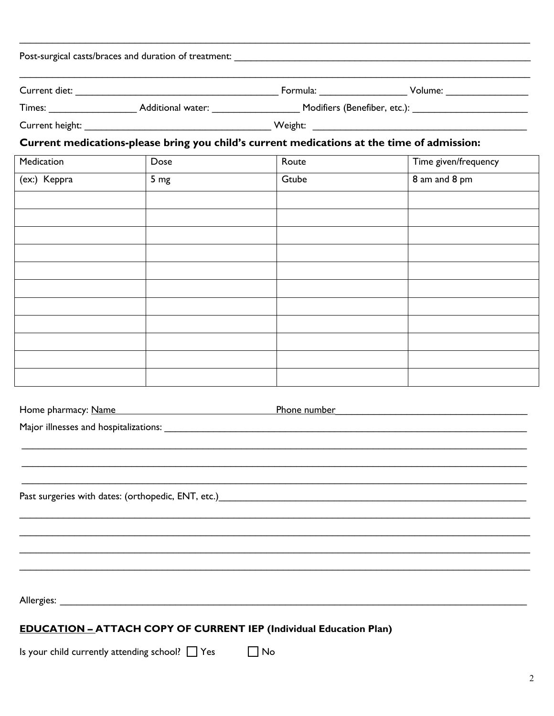|              | Current medications-please bring you child's current medications at the time of admission: |       |                                  |
|--------------|--------------------------------------------------------------------------------------------|-------|----------------------------------|
| Medication   | Dose                                                                                       | Route | Time given/frequency             |
| (ex:) Keppra | 5 <sub>mg</sub>                                                                            | Gtube | 8 am and 8 pm                    |
|              |                                                                                            |       |                                  |
|              |                                                                                            |       |                                  |
|              |                                                                                            |       |                                  |
|              |                                                                                            |       |                                  |
|              |                                                                                            |       |                                  |
|              |                                                                                            |       |                                  |
|              |                                                                                            |       |                                  |
|              |                                                                                            |       |                                  |
|              |                                                                                            |       |                                  |
|              |                                                                                            |       |                                  |
|              |                                                                                            |       |                                  |
|              |                                                                                            |       |                                  |
|              | Home pharmacy: Name                                                                        |       | <b>Phone number example 2000</b> |
|              | Major illnesses and hospitalizations:                                                      |       |                                  |
|              |                                                                                            |       |                                  |
|              |                                                                                            |       |                                  |
|              |                                                                                            |       |                                  |
|              |                                                                                            |       |                                  |
|              |                                                                                            |       |                                  |
|              |                                                                                            |       |                                  |
|              |                                                                                            |       |                                  |
|              |                                                                                            |       |                                  |
|              |                                                                                            |       |                                  |
|              |                                                                                            |       |                                  |
|              |                                                                                            |       |                                  |

Is your child currently attending school? Thes The Tho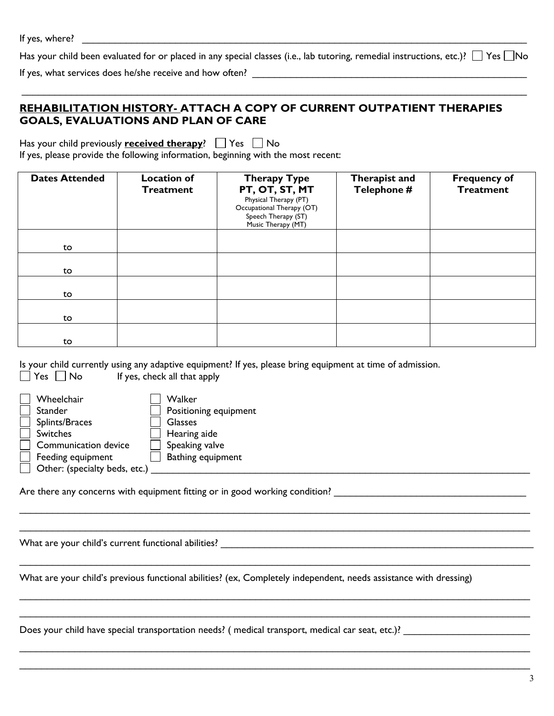Has your child been evaluated for or placed in any special classes (i.e., lab tutoring, remedial instructions, etc.)?  $\Box$  Yes  $\Box$ No

 $\mathcal{L}_\mathcal{L} = \{ \mathcal{L}_\mathcal{L} = \{ \mathcal{L}_\mathcal{L} = \{ \mathcal{L}_\mathcal{L} = \{ \mathcal{L}_\mathcal{L} = \{ \mathcal{L}_\mathcal{L} = \{ \mathcal{L}_\mathcal{L} = \{ \mathcal{L}_\mathcal{L} = \{ \mathcal{L}_\mathcal{L} = \{ \mathcal{L}_\mathcal{L} = \{ \mathcal{L}_\mathcal{L} = \{ \mathcal{L}_\mathcal{L} = \{ \mathcal{L}_\mathcal{L} = \{ \mathcal{L}_\mathcal{L} = \{ \mathcal{L}_\mathcal{$ 

If yes, what services does he/she receive and how often? \_\_\_\_\_\_\_\_\_\_\_\_\_\_\_\_\_\_\_\_\_\_\_\_\_\_\_\_\_\_\_\_\_\_\_\_\_\_\_\_\_\_\_\_\_\_\_\_\_\_

## **REHABILITATION HISTORY- ATTACH A COPY OF CURRENT OUTPATIENT THERAPIES GOALS, EVALUATIONS AND PLAN OF CARE**

| Has your child previously <b>received therapy</b> ? $\Box$ Yes $\Box$ No          |  |
|-----------------------------------------------------------------------------------|--|
| If yes, please provide the following information, beginning with the most recent: |  |

| <b>Dates Attended</b> | <b>Location of</b><br><b>Treatment</b> | <b>Therapy Type</b><br>PT, OT, ST, MT<br>Physical Therapy (PT)<br>Occupational Therapy (OT)<br>Speech Therapy (ST)<br>Music Therapy (MT) | Therapist and<br>Telephone # | <b>Frequency of</b><br><b>Treatment</b> |
|-----------------------|----------------------------------------|------------------------------------------------------------------------------------------------------------------------------------------|------------------------------|-----------------------------------------|
| to                    |                                        |                                                                                                                                          |                              |                                         |
| to                    |                                        |                                                                                                                                          |                              |                                         |
| to                    |                                        |                                                                                                                                          |                              |                                         |
| to                    |                                        |                                                                                                                                          |                              |                                         |
| to                    |                                        |                                                                                                                                          |                              |                                         |

Is your child currently using any adaptive equipment? If yes, please bring equipment at time of admission.

| Wheelchair                    | Walker                |
|-------------------------------|-----------------------|
| Stander                       | Positioning equipment |
| Splints/Braces                | <b>Glasses</b>        |
| <b>Switches</b>               | Hearing aide          |
| Communication device          | Speaking valve        |
| Feeding equipment             | Bathing equipment     |
| Other: (specialty beds, etc.) |                       |

 $\Box$  Yes  $\Box$  No If yes, check all that apply

| Y V AIKEI             |
|-----------------------|
| Positioning equipment |
| <b>Glasses</b>        |
| $\Box$ Hearing aide   |
| Speaking valve        |
| Bathing equipment     |
|                       |

Are there any concerns with equipment fitting or in good working condition? \_\_\_\_\_\_\_\_\_\_\_\_\_\_\_\_\_\_\_\_\_\_\_\_\_\_\_\_\_\_\_\_\_\_

What are your child's current functional abilities? \_\_\_\_\_\_\_\_\_\_\_\_\_\_\_\_\_\_\_\_\_\_\_\_\_\_\_\_\_\_\_\_\_\_\_\_\_\_\_\_\_\_\_\_\_\_\_\_\_\_\_\_\_\_\_\_\_

What are your child's previous functional abilities? (ex, Completely independent, needs assistance with dressing)

 $\_$  ,  $\_$  ,  $\_$  ,  $\_$  ,  $\_$  ,  $\_$  ,  $\_$  ,  $\_$  ,  $\_$  ,  $\_$  ,  $\_$  ,  $\_$  ,  $\_$  ,  $\_$  ,  $\_$  ,  $\_$  ,  $\_$  ,  $\_$  ,  $\_$  ,  $\_$  ,  $\_$  ,  $\_$  ,  $\_$  ,  $\_$  ,  $\_$  ,  $\_$  ,  $\_$  ,  $\_$  ,  $\_$  ,  $\_$  ,  $\_$  ,  $\_$  ,  $\_$  ,  $\_$  ,  $\_$  ,  $\_$  ,  $\_$  ,  $\mathcal{L}_\mathcal{L} = \{ \mathcal{L}_\mathcal{L} = \{ \mathcal{L}_\mathcal{L} = \{ \mathcal{L}_\mathcal{L} = \{ \mathcal{L}_\mathcal{L} = \{ \mathcal{L}_\mathcal{L} = \{ \mathcal{L}_\mathcal{L} = \{ \mathcal{L}_\mathcal{L} = \{ \mathcal{L}_\mathcal{L} = \{ \mathcal{L}_\mathcal{L} = \{ \mathcal{L}_\mathcal{L} = \{ \mathcal{L}_\mathcal{L} = \{ \mathcal{L}_\mathcal{L} = \{ \mathcal{L}_\mathcal{L} = \{ \mathcal{L}_\mathcal{$ 

 $\_$  ,  $\_$  ,  $\_$  ,  $\_$  ,  $\_$  ,  $\_$  ,  $\_$  ,  $\_$  ,  $\_$  ,  $\_$  ,  $\_$  ,  $\_$  ,  $\_$  ,  $\_$  ,  $\_$  ,  $\_$  ,  $\_$  ,  $\_$  ,  $\_$  ,  $\_$  ,  $\_$  ,  $\_$  ,  $\_$  ,  $\_$  ,  $\_$  ,  $\_$  ,  $\_$  ,  $\_$  ,  $\_$  ,  $\_$  ,  $\_$  ,  $\_$  ,  $\_$  ,  $\_$  ,  $\_$  ,  $\_$  ,  $\_$  ,

 $\_$  ,  $\_$  ,  $\_$  ,  $\_$  ,  $\_$  ,  $\_$  ,  $\_$  ,  $\_$  ,  $\_$  ,  $\_$  ,  $\_$  ,  $\_$  ,  $\_$  ,  $\_$  ,  $\_$  ,  $\_$  ,  $\_$  ,  $\_$  ,  $\_$  ,  $\_$  ,  $\_$  ,  $\_$  ,  $\_$  ,  $\_$  ,  $\_$  ,  $\_$  ,  $\_$  ,  $\_$  ,  $\_$  ,  $\_$  ,  $\_$  ,  $\_$  ,  $\_$  ,  $\_$  ,  $\_$  ,  $\_$  ,  $\_$  ,

 $\mathcal{L}_\mathcal{L} = \mathcal{L}_\mathcal{L} = \mathcal{L}_\mathcal{L} = \mathcal{L}_\mathcal{L} = \mathcal{L}_\mathcal{L} = \mathcal{L}_\mathcal{L} = \mathcal{L}_\mathcal{L} = \mathcal{L}_\mathcal{L} = \mathcal{L}_\mathcal{L} = \mathcal{L}_\mathcal{L} = \mathcal{L}_\mathcal{L} = \mathcal{L}_\mathcal{L} = \mathcal{L}_\mathcal{L} = \mathcal{L}_\mathcal{L} = \mathcal{L}_\mathcal{L} = \mathcal{L}_\mathcal{L} = \mathcal{L}_\mathcal{L}$  $\_$  ,  $\_$  ,  $\_$  ,  $\_$  ,  $\_$  ,  $\_$  ,  $\_$  ,  $\_$  ,  $\_$  ,  $\_$  ,  $\_$  ,  $\_$  ,  $\_$  ,  $\_$  ,  $\_$  ,  $\_$  ,  $\_$  ,  $\_$  ,  $\_$  ,  $\_$  ,  $\_$  ,  $\_$  ,  $\_$  ,  $\_$  ,  $\_$  ,  $\_$  ,  $\_$  ,  $\_$  ,  $\_$  ,  $\_$  ,  $\_$  ,  $\_$  ,  $\_$  ,  $\_$  ,  $\_$  ,  $\_$  ,  $\_$  ,

Does your child have special transportation needs? ( medical transport, medical car seat, etc.)? \_\_\_\_\_\_\_\_\_\_\_\_\_\_\_\_\_\_\_\_\_\_\_